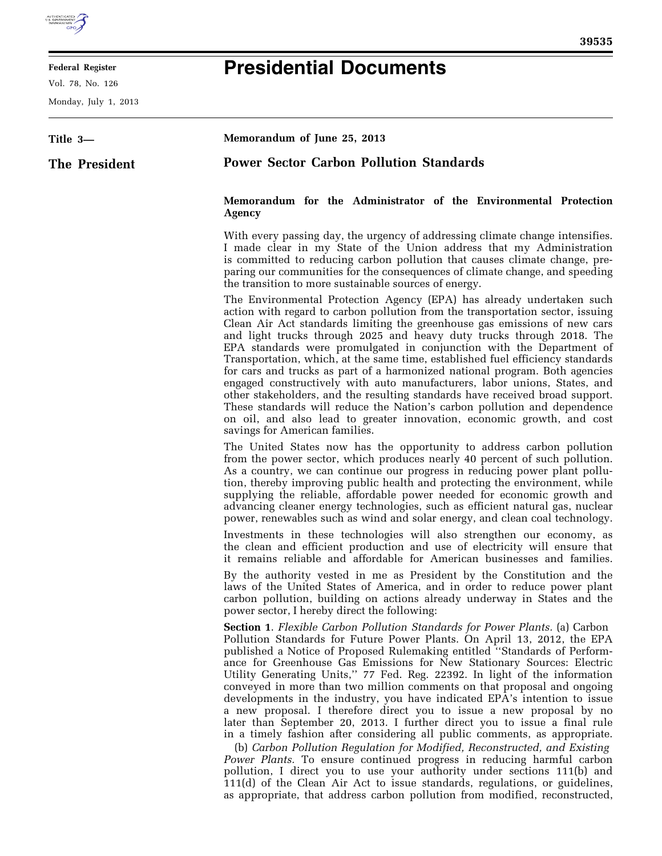

E

## **Federal Register**

Vol. 78, No. 126

Monday, July 1, 2013

## **Presidential Documents**

| Title 3—      | Memorandum of June 25, 2013                                                                                                                                                                                                                                                                                                                                                                                                                                                                                                                                                                                                                                                                                                                                                                                                                                                                                                                                                                                                                                                                                                                                                                  |
|---------------|----------------------------------------------------------------------------------------------------------------------------------------------------------------------------------------------------------------------------------------------------------------------------------------------------------------------------------------------------------------------------------------------------------------------------------------------------------------------------------------------------------------------------------------------------------------------------------------------------------------------------------------------------------------------------------------------------------------------------------------------------------------------------------------------------------------------------------------------------------------------------------------------------------------------------------------------------------------------------------------------------------------------------------------------------------------------------------------------------------------------------------------------------------------------------------------------|
| The President | <b>Power Sector Carbon Pollution Standards</b>                                                                                                                                                                                                                                                                                                                                                                                                                                                                                                                                                                                                                                                                                                                                                                                                                                                                                                                                                                                                                                                                                                                                               |
|               | Memorandum for the Administrator of the Environmental Protection<br><b>Agency</b>                                                                                                                                                                                                                                                                                                                                                                                                                                                                                                                                                                                                                                                                                                                                                                                                                                                                                                                                                                                                                                                                                                            |
|               | With every passing day, the urgency of addressing climate change intensifies.<br>I made clear in my State of the Union address that my Administration<br>is committed to reducing carbon pollution that causes climate change, pre-<br>paring our communities for the consequences of climate change, and speeding<br>the transition to more sustainable sources of energy.                                                                                                                                                                                                                                                                                                                                                                                                                                                                                                                                                                                                                                                                                                                                                                                                                  |
|               | The Environmental Protection Agency (EPA) has already undertaken such<br>action with regard to carbon pollution from the transportation sector, issuing<br>Clean Air Act standards limiting the greenhouse gas emissions of new cars<br>and light trucks through 2025 and heavy duty trucks through 2018. The<br>EPA standards were promulgated in conjunction with the Department of<br>Transportation, which, at the same time, established fuel efficiency standards<br>for cars and trucks as part of a harmonized national program. Both agencies<br>engaged constructively with auto manufacturers, labor unions, States, and<br>other stakeholders, and the resulting standards have received broad support.<br>These standards will reduce the Nation's carbon pollution and dependence<br>on oil, and also lead to greater innovation, economic growth, and cost<br>savings for American families.                                                                                                                                                                                                                                                                                  |
|               | The United States now has the opportunity to address carbon pollution<br>from the power sector, which produces nearly 40 percent of such pollution.<br>As a country, we can continue our progress in reducing power plant pollu-<br>tion, thereby improving public health and protecting the environment, while<br>supplying the reliable, affordable power needed for economic growth and<br>advancing cleaner energy technologies, such as efficient natural gas, nuclear<br>power, renewables such as wind and solar energy, and clean coal technology.                                                                                                                                                                                                                                                                                                                                                                                                                                                                                                                                                                                                                                   |
|               | Investments in these technologies will also strengthen our economy, as<br>the clean and efficient production and use of electricity will ensure that<br>it remains reliable and affordable for American businesses and families.                                                                                                                                                                                                                                                                                                                                                                                                                                                                                                                                                                                                                                                                                                                                                                                                                                                                                                                                                             |
|               | By the authority vested in me as President by the Constitution and the<br>laws of the United States of America, and in order to reduce power plant<br>carbon pollution, building on actions already underway in States and the<br>power sector, I hereby direct the following:                                                                                                                                                                                                                                                                                                                                                                                                                                                                                                                                                                                                                                                                                                                                                                                                                                                                                                               |
|               | <b>Section 1.</b> Flexible Carbon Pollution Standards for Power Plants. (a) Carbon<br>Pollution Standards for Future Power Plants. On April 13, 2012, the EPA<br>published a Notice of Proposed Rulemaking entitled "Standards of Perform-<br>ance for Greenhouse Gas Emissions for New Stationary Sources: Electric<br>Utility Generating Units," 77 Fed. Reg. 22392. In light of the information<br>conveyed in more than two million comments on that proposal and ongoing<br>developments in the industry, you have indicated EPA's intention to issue<br>a new proposal. I therefore direct you to issue a new proposal by no<br>later than September 20, 2013. I further direct you to issue a final rule<br>in a timely fashion after considering all public comments, as appropriate.<br>(b) Carbon Pollution Regulation for Modified, Reconstructed, and Existing<br>Power Plants. To ensure continued progress in reducing harmful carbon<br>pollution, I direct you to use your authority under sections 111(b) and<br>111(d) of the Clean Air Act to issue standards, regulations, or guidelines,<br>as appropriate, that address carbon pollution from modified, reconstructed, |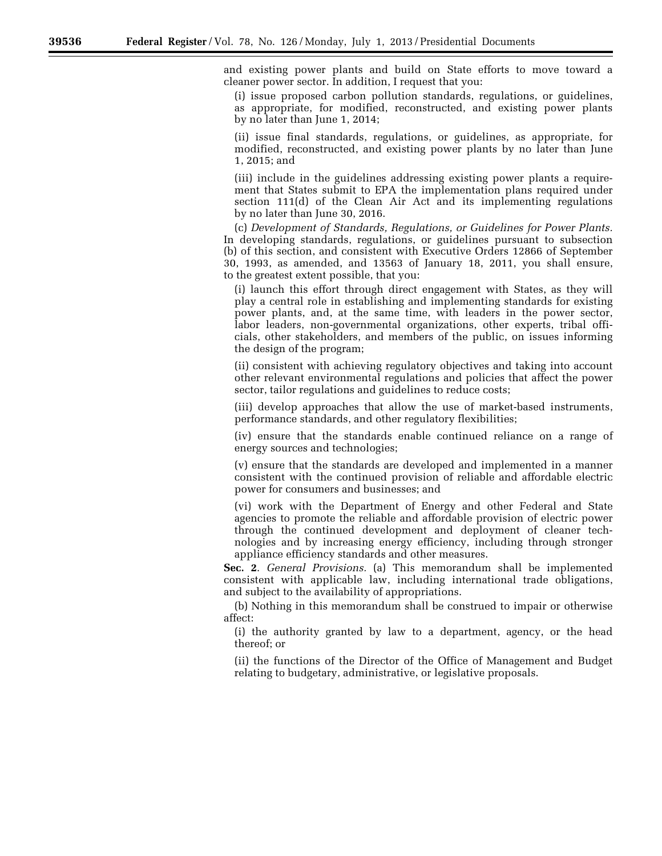and existing power plants and build on State efforts to move toward a cleaner power sector. In addition, I request that you:

(i) issue proposed carbon pollution standards, regulations, or guidelines, as appropriate, for modified, reconstructed, and existing power plants by no later than June 1, 2014;

(ii) issue final standards, regulations, or guidelines, as appropriate, for modified, reconstructed, and existing power plants by no later than June 1, 2015; and

(iii) include in the guidelines addressing existing power plants a requirement that States submit to EPA the implementation plans required under section 111(d) of the Clean Air Act and its implementing regulations by no later than June 30, 2016.

(c) *Development of Standards, Regulations, or Guidelines for Power Plants.*  In developing standards, regulations, or guidelines pursuant to subsection (b) of this section, and consistent with Executive Orders 12866 of September 30, 1993, as amended, and 13563 of January 18, 2011, you shall ensure, to the greatest extent possible, that you:

(i) launch this effort through direct engagement with States, as they will play a central role in establishing and implementing standards for existing power plants, and, at the same time, with leaders in the power sector, labor leaders, non-governmental organizations, other experts, tribal officials, other stakeholders, and members of the public, on issues informing the design of the program;

(ii) consistent with achieving regulatory objectives and taking into account other relevant environmental regulations and policies that affect the power sector, tailor regulations and guidelines to reduce costs;

(iii) develop approaches that allow the use of market-based instruments, performance standards, and other regulatory flexibilities;

(iv) ensure that the standards enable continued reliance on a range of energy sources and technologies;

(v) ensure that the standards are developed and implemented in a manner consistent with the continued provision of reliable and affordable electric power for consumers and businesses; and

(vi) work with the Department of Energy and other Federal and State agencies to promote the reliable and affordable provision of electric power through the continued development and deployment of cleaner technologies and by increasing energy efficiency, including through stronger appliance efficiency standards and other measures.

**Sec. 2**. *General Provisions.* (a) This memorandum shall be implemented consistent with applicable law, including international trade obligations, and subject to the availability of appropriations.

(b) Nothing in this memorandum shall be construed to impair or otherwise affect:

(i) the authority granted by law to a department, agency, or the head thereof; or

(ii) the functions of the Director of the Office of Management and Budget relating to budgetary, administrative, or legislative proposals.